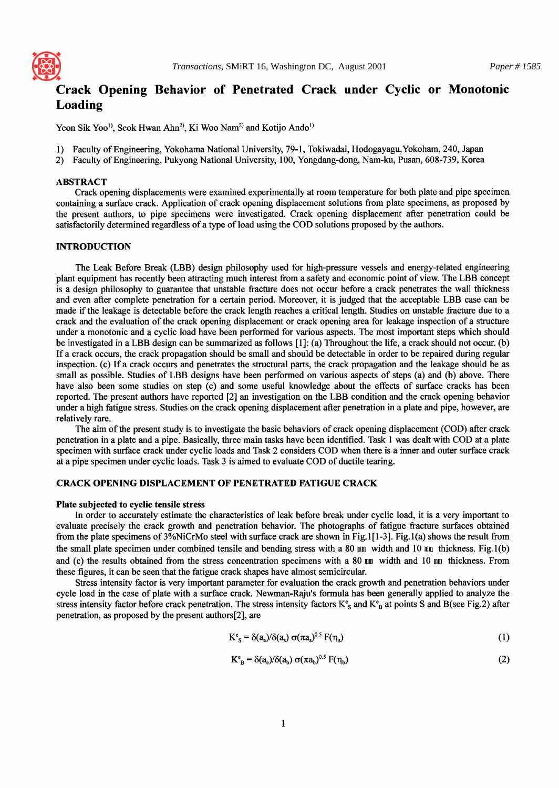

# **Crack Opening Behavior of Penetrated Crack under Cyclic or Monotonic Loading**

Yeon Sik Yoo<sup>1</sup>, Seok Hwan Ahn<sup>2</sup>, Ki Woo Nam<sup>2</sup> and Kotijo Ando<sup>1)</sup>

- 1) Faculty of Engineering, Yokohama National University, 79-1, Tokiwadai, Hodogayagu,Yokoham, 240, Japan
- 2) Faculty of Engineering, Pukyong National University, 100, Yongdang-dong, Nam-ku, Pusan, 608-739, Korea

# ABSTRACT

Crack opening displacements were examined experimentally at room temperature for both plate and pipe specimen containing a surface crack. Application of crack opening displacement solutions from plate specimens, as proposed by the present authors, to pipe specimens were investigated. Crack opening displacement after penetration could be satisfactorily determined regardless of a type of load using the COD solutions proposed by the authors.

# INTRODUCTION

The Leak Before Break (LBB) design philosophy used for high-pressure vessels and energy-related engineering plant equipment has recently been attracting much interest from a safety and economic point of view. The LBB concept is a design philosophy to guarantee that unstable fracture does not occur before a crack penetrates the wall thickness and even after complete penetration for a certain period. Moreover, it is judged that the acceptable LBB case can be made if the leakage is detectable before the crack length reaches a critical length. Studies on unstable fracture due to a crack and the evaluation of the crack opening displacement or crack opening area for leakage inspection of a structure under a monotonic and a cyclic load have been performed for various aspects. The most important steps which should be investigated in a LBB design can be summarized as follows  $[1]$ : (a) Throughout the life, a crack should not occur. (b) If a crack occurs, the crack propagation should be small and should be detectable in order to be repaired during regular inspection. (c) If a crack occurs and penetrates the structural parts, the crack propagation and the leakage should be as small as possible. Studies of LBB designs have been performed on various aspects of steps (a) and (b) above. There have also been some studies on step (c) and some useful knowledge about the effects of surface cracks has been reported. The present authors have reported [2] an investigation on the LBB condition and the crack opening behavior under a high fatigue stress. Studies on the crack opening displacement atter penetration in a plate and pipe, however, are relatively rare.

The aim of the present study is to investigate the basic behaviors of crack opening displacement (COD) atter crack penetration in a plate and a pipe. Basically, three main tasks have been identified. Task 1 was dealt with COD at a plate specimen with surface crack under cyclic loads and Task 2 considers COD when there is a inner and outer surface crack at a pipe specimen under cyclic loads. Task 3 is aimed to evaluate COD of ductile tearing.

# CRACK OPENING DISPLACEMENT OF PENETRATED FATIGUE CRACK

#### **Plate subjected to cyclic tensile stress**

In order to accurately estimate the characteristics of leak before break under cyclic load, it is a very important to evaluate precisely the crack growth and penetration behavior. The photographs of fatigue fracture surfaces obtained from the plate specimens of 3%NiCrMo steel with surface crack are shown in Fig.  $1[1-3]$ . Fig.1(a) shows the result from the small plate specimen under combined tensile and bending stress with a 80 mm width and 10 mm thickness. Fig.1 (b) and (c) the results obtained from the stress concentration specimens with a 80 mm width and 10 mm thickness. From these figures, it can be seen that the fatigue crack shapes have almost semicircular.

Stress intensity factor is very important parameter for evaluation the crack growth and penetration behaviors under cycle load in the case of plate with a surface crack. Newman-Raju's formula has been generally applied to analyze the stress intensity factor before crack penetration. The stress intensity factors  $K^e$ <sub>s</sub> and  $K^e$ <sub>B</sub> at points S and B(see Fig.2) after penetration, as proposed by the present authors[2], are

$$
K^e{}_s = \delta(a_e)/\delta(a_s) \sigma(\pi a_s)^{0.5} F(\eta_s)
$$
 (1)

$$
K_{\text{B}}^{\text{e}} = \delta(a_{\text{e}})/\delta(a_{\text{b}}) \sigma(\pi a_{\text{b}})^{0.5} F(\eta_{\text{b}})
$$
 (2)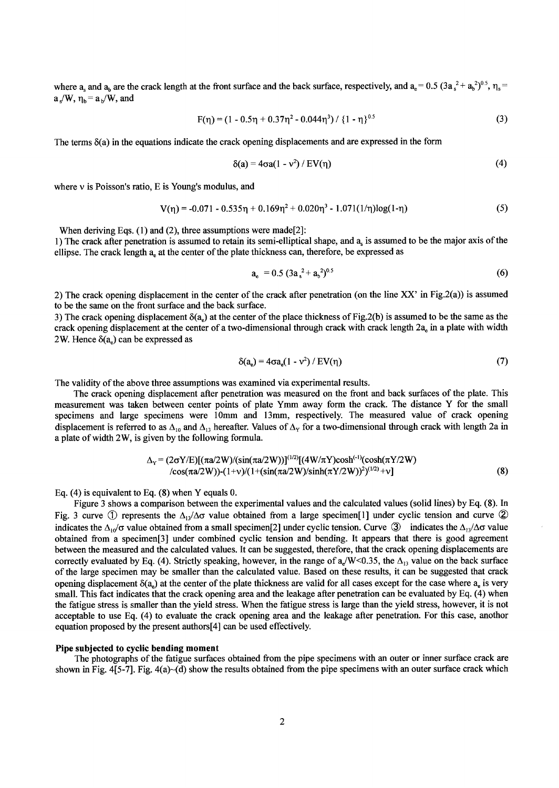where  $a_s$  and  $a_b$  are the crack length at the front surface and the back surface, respectively, and  $a_e = 0.5$   $(3a_s^2 + a_b^2)^{0.5}$ ,  $\eta_s =$  $a_s/W$ ,  $\eta_b = a_b/W$ , and

$$
F(\eta) = (1 - 0.5\eta + 0.37\eta^{2} - 0.044\eta^{3}) / \{1 - \eta\}^{0.5}
$$
 (3)

The terms  $\delta$ (a) in the equations indicate the crack opening displacements and are expressed in the form

$$
\delta(a) = 4\sigma a(1 - v^2) / EV(\eta) \tag{4}
$$

where  $\nu$  is Poisson's ratio, E is Young's modulus, and

$$
V(\eta) = -0.071 - 0.535\eta + 0.169\eta^{2} + 0.020\eta^{3} - 1.071(1/\eta)log(1-\eta)
$$
 (5)

When deriving Eqs.  $(1)$  and  $(2)$ , three assumptions were made[2]:

1) The crack after penetration is assumed to retain its semi-elliptical shape, and  $a<sub>s</sub>$  is assumed to be the major axis of the ellipse. The crack length a<sub>n</sub> at the center of the plate thickness can, therefore, be expressed as

$$
a_e = 0.5 (3a_s^2 + a_b^2)^{0.5}
$$
 (6)

2) The crack opening displacement in the center of the crack after penetration (on the line XX' in Fig.2(a)) is assumed to be the same on the front surface and the back surface.

3) The crack opening displacement  $\delta(a_e)$  at the center of the place thickness of Fig.2(b) is assumed to be the same as the crack opening displacement at the center of a two-dimensional through crack with crack length 2a<sub>e</sub> in a plate with width 2W. Hence  $\delta(a_e)$  can be expressed as

$$
\delta(a_e) = 4\sigma a_e (1 - v^2) / EV(\eta)
$$
\n(7)

The validity of the above three assumptions was examined via experimental results.

The crack opening displacement after penetration was measured on the front and back surfaces of the plate. This measurement was taken between center points of plate Ymm away form the crack. The distance Y for the small specimens and large specimens were 10mm and 13mm, respectively. The measured value of crack opening displacement is referred to as  $\Delta_{10}$  and  $\Delta_{13}$  hereafter. Values of  $\Delta_Y$  for a two-dimensional through crack with length 2a in a plate of width 2W, is given by the following formula.

$$
\Delta_{Y} = (2\sigma Y/E)[(\pi a/2W)/(\sin(\pi a/2W))]^{(1/2)}[(4W/\pi Y)\cosh^{(-1)}(\cosh(\pi Y/2W))
$$
  
\n
$$
/\cos(\pi a/2W))-(1+v)/(1+(\sin(\pi a/2W)/\sinh(\pi Y/2W))^{2})^{(1/2)}+v]
$$
\n(8)

Eq. (4) is equivalent to Eq. (8) when Y equals 0.

Figure 3 shows a comparison between the experimental values and the calculated values (solid lines) by Eq. (8). In Fig. 3 curve  $\circled{1}$  represents the  $\Delta_{13}/\Delta\sigma$  value obtained from a large specimen[1] under cyclic tension and curve  $\circled{2}$ indicates the  $\Delta_{10}/\sigma$  value obtained from a small specimen[2] under cyclic tension. Curve  $\circled{3}$  indicates the  $\Delta_{13}/\Delta\sigma$  value obtained from a specimen[3] under combined cyclic tension and bending. It appears that there is good agreement between the measured and the calculated values. It can be suggested, therefore, that the crack opening displacements are correctly evaluated by Eq. (4). Strictly speaking, however, in the range of  $a/dW < 0.35$ , the  $\Delta_{13}$  value on the back surface of the large specimen may be smaller than the calculated value. Based on these results, it can be suggested that crack opening displacement  $\delta(a_0)$  at the center of the plate thickness are valid for all cases except for the case where  $a_0$  is very small. This fact indicates that the crack opening area and the leakage after penetration can be evaluated by Eq. (4) when the fatigue stress is smaller than the yield stress. When the fatigue stress is large than the yield stress, however, it is not acceptable to use Eq. (4) to evaluate the crack opening area and the leakage after penetration. For this case, anothor equation proposed by the present authors[4] can be used effectively.

#### **Pipe subjected to cyclic bending moment**

The photographs of the fatigue surfaces obtained from the pipe specimens with an outer or inner surface crack are shown in Fig. 4[5-7]. Fig.  $4(a)$   $\sim$ (d) show the results obtained from the pipe specimens with an outer surface crack which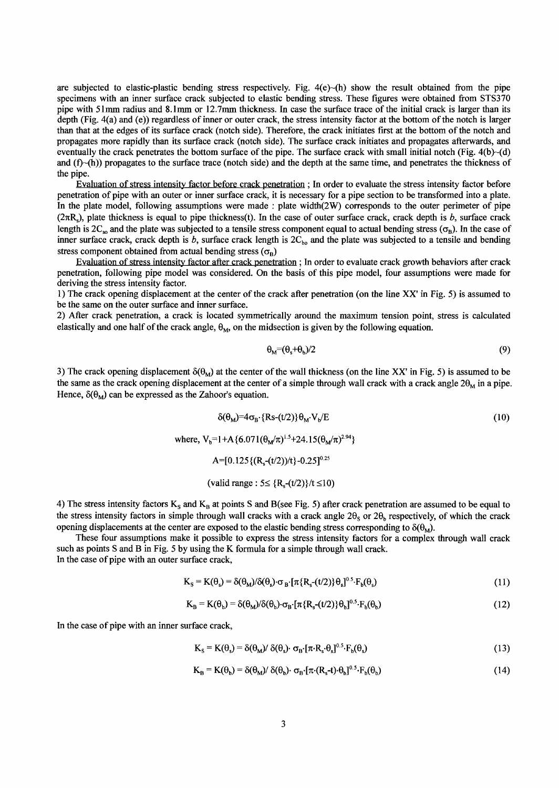are subjected to elastic-plastic bending stress respectively. Fig.  $4(e)$ - $(h)$  show the result obtained from the pipe specimens with an inner surface crack subjected to elastic bending stress. These figures were obtained from STS370 pipe with 51mm radius and 8.1mm or 12.7mm thickness. In case the surface trace of the initial crack is larger than its depth (Fig. 4(a) and (e)) regardless of inner or outer crack, the stress intensity factor at the bottom of the notch is larger than that at the edges of its surface crack (notch side). Therefore, the crack initiates first at the bottom of the notch and propagates more rapidly than its surface crack (notch side). The surface crack initiates and propagates afterwards, and eventually the crack penetrates the bottom surface of the pipe. The surface crack with small initial notch (Fig.  $4(b)$   $\neg$  (d) and  $(f)$  $\sim$ (h)) propagates to the surface trace (notch side) and the depth at the same time, and penetrates the thickness of the pipe.

Evaluation of stress intensity factor before crack penetration ; In order to evaluate the stress intensity factor before penetration of pipe with an outer or inner surface crack, it is necessary for a pipe section to be transformed into a plate. In the plate model, following assumptions were made : plate width(2W) corresponds to the outer perimeter of pipe  $(2\pi R_s)$ , plate thickness is equal to pipe thickness(t). In the case of outer surface crack, crack depth is b, surface crack length is  $2C_{\infty}$  and the plate was subjected to a tensile stress component equal to actual bending stress ( $\sigma_{B}$ ). In the case of inner surface crack, crack depth is b, surface crack length is  $2C_{bo}$  and the plate was subjected to a tensile and bending stress component obtained from actual bending stress ( $\sigma_{\rm B}$ )

Evaluation of stress intensity factor after crack penetration ; In order to evaluate crack growth behaviors after crack penetration, following pipe model was considered. On the basis of this pipe model, four assumptions were made for deriving the stress intensity factor.

1) The crack opening displacement at the center of the crack after penetration (on the line XX' in Fig. 5) is assumed to be the same on the outer surface and inner surface.

2) After crack penetration, a crack is located symmetrically around the maximum tension point, stress is calculated elastically and one half of the crack angle,  $\theta_M$ , on the midsection is given by the following equation.

$$
\Theta_{\rm M} = (\Theta_{\rm s} + \Theta_{\rm b})/2 \tag{9}
$$

3) The crack opening displacement  $\delta(\theta_M)$  at the center of the wall thickness (on the line XX' in Fig. 5) is assumed to be the same as the crack opening displacement at the center of a simple through wall crack with a crack angle  $2\theta_M$  in a pipe. Hence,  $\delta(\theta_M)$  can be expressed as the Zahoor's equation.

$$
\delta(\theta_M) = 4\sigma_B \cdot \{Rs - (t/2)\} \theta_M \cdot V_b / E
$$
\n(10)  
\nwhere, V<sub>b</sub>=1+A {6.071( $\theta_M/\pi$ )<sup>1.5</sup>+24.15( $\theta_M/\pi$ )<sup>2.94</sup>}  
\nA=[0.125 {( $R_s$ -(t/2))/t}-0.25]<sup>0.25</sup>  
\n(valid range: 5 $\leq$  { $R_s$ -(t/2)}/t $\leq$ 10)

4) The stress intensity factors  $K_s$  and  $K_B$  at points S and B(see Fig. 5) after crack penetration are assumed to be equal to the stress intensity factors in simple through wall cracks with a crack angle  $2\theta_s$  or  $2\theta_h$  respectively, of which the crack opening displacements at the center are exposed to the elastic bending stress corresponding to  $\delta(\theta_M)$ .

These four assumptions make it possible to express the stress intensity factors for a complex through wall crack such as points S and B in Fig. 5 by using the K formula for a simple through wall crack. In the case of pipe with an outer surface crack,

$$
K_{\rm S} = K(\theta_{\rm s}) = \delta(\theta_{\rm M})/\delta(\theta_{\rm s}) \cdot \sigma_{\rm B} \cdot [\pi \{R_{\rm s}-(t/2)\} \theta_{\rm s}]^{0.5} \cdot F_{\rm b}(\theta_{\rm s}) \tag{11}
$$

$$
K_{\rm B} = K(\theta_{\rm b}) = \delta(\theta_{\rm M})/\delta(\theta_{\rm b}) \cdot \sigma_{\rm B} \cdot [\pi \{R_{\rm s}-(t/2)\} \theta_{\rm b}]^{0.5} \cdot F_{\rm b}(\theta_{\rm b}) \tag{12}
$$

In the case of pipe with an inner surface crack,

$$
K_{\rm S} = K(\theta_{\rm s}) = \delta(\theta_{\rm M}) / \delta(\theta_{\rm s}) \cdot \sigma_{\rm B} \cdot [\pi \cdot R_{\rm s} \cdot \theta_{\rm s}]^{0.5} \cdot F_{\rm b}(\theta_{\rm s}) \tag{13}
$$

$$
K_{\rm B} = K(\theta_{\rm b}) = \delta(\theta_{\rm M})/\delta(\theta_{\rm b}) \cdot \sigma_{\rm B} \cdot [\pi \cdot (R_{\rm s} - t) \cdot \theta_{\rm b}]^{0.5} \cdot F_{\rm b}(\theta_{\rm b})
$$
(14)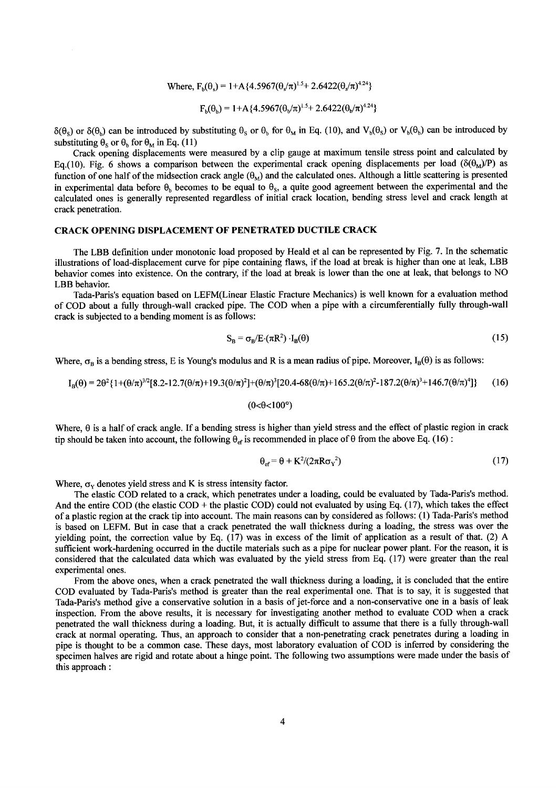Where, 
$$
F_b(\theta_s) = 1 + A \{4.5967(\theta_s/\pi)^{1.5} + 2.6422(\theta_s/\pi)^{4.24}\}
$$

$$
F_b(\theta_b) = 1 + A \{4.5967(\theta_b/\pi)^{1.5} + 2.6422(\theta_b/\pi)^{4.24}\}
$$

 $\delta(\theta_s)$  or  $\delta(\theta_b)$  can be introduced by substituting  $\theta_s$  or  $\theta_b$  for  $\theta_M$  in Eq. (10), and  $V_b(\theta_s)$  or  $V_b(\theta_b)$  can be introduced by substituting  $\theta_s$  or  $\theta_b$  for  $\theta_M$  in Eq. (11)

Crack opening displacements were measured by a clip gauge at maximum tensile stress point and calculated by Eq.(10). Fig. 6 shows a comparison between the experimental crack opening displacements per load ( $\delta(\theta_M)/P$ ) as function of one half of the midsection crack angle  $(\theta_M)$  and the calculated ones. Although a little scattering is presented in experimental data before  $\theta_b$  becomes to be equal to  $\theta_s$ , a quite good agreement between the experimental and the calculated ones is generally represented regardless of initial crack location, bending stress level and crack length at crack penetration.

# CRACK OPENING DISPLACEMENT OF PENETRATED DUCTILE CRACK

The LBB definition under monotonic load proposed by Heald et al can be represented by Fig. 7. In the schematic illustrations of load-displacement curve for pipe containing flaws, if the load at break is higher than one at leak, LBB behavior comes into existence. On the contrary, if the load at break is lower than the one at leak, that belongs to NO LBB behavior.

Tada-Paris's equation based on LEFM(Linear Elastic Fracture Mechanics) is well known for a evaluation method of COD about a fully through-wall cracked pipe. The COD when a pipe with a circumferentially fully through-wall crack is subjected to a bending moment is as follows:

$$
S_B = \sigma_B / E \cdot (\pi R^2) \cdot I_B(\theta) \tag{15}
$$

Where,  $\sigma_B$  is a bending stress, E is Young's modulus and R is a mean radius of pipe. Moreover, I<sub>B</sub>( $\theta$ ) is as follows:

$$
I_{B}(\theta) = 2\theta^{2} \{1+(\theta/\pi)^{3/2}[8.2-12.7(\theta/\pi)+19.3(\theta/\pi)^{2}]+(\theta/\pi)^{3}[20.4-68(\theta/\pi)+165.2(\theta/\pi)^{2}-187.2(\theta/\pi)^{3}+146.7(\theta/\pi)^{4}]\}
$$
(16)  
(0<0<100°)

Where,  $\theta$  is a half of crack angle. If a bending stress is higher than yield stress and the effect of plastic region in crack tip should be taken into account, the following  $\theta_{ef}$  is recommended in place of  $\theta$  from the above Eq. (16):

$$
\theta_{\rm ef} = \theta + K^2 / (2\pi R \sigma_Y^2) \tag{17}
$$

Where,  $\sigma_Y$  denotes yield stress and K is stress intensity factor.

The elastic COD related to a crack, which penetrates under a loading, could be evaluated by Tada-Paris's method. And the entire COD (the elastic COD + the plastic COD) could not evaluated by using Eq.  $(17)$ , which takes the effect of a plastic region at the crack tip into account. The main reasons can by considered as follows: (1) Tada-Paris's method is based on LEFM. But in case that a crack penetrated the wall thickness during a loading, the stress was over the yielding point, the correction value by Eq. (17) was in excess of the limit of application as a result of that. (2) A sufficient work-hardening occurred in the ductile materials such as a pipe for nuclear power plant. For the reason, it is considered that the calculated data which was evaluated by the yield stress from Eq. (17) were greater than the real experimental ones.

From the above ones, when a crack penetrated the wall thickness during a loading, it is concluded that the entire COD evaluated by Tada-Paris's method is greater than the real experimental one. That is to say, it is suggested that Tada-Paris's method give a conservative solution in a basis of jet-force and a non-conservative one in a basis of leak inspection. From the above results, it is necessary for investigating another method to evaluate COD when a crack penetrated the wall thickness during a loading. But, it is actually difficult to assume that there is a fully through-wall crack at normal operating. Thus, an approach to consider that a non-penetrating crack penetrates during a loading in pipe is thought to be a common case. These days, most laboratory evaluation of COD is inferred by considering the specimen halves are rigid and rotate about a hinge point. The following two assumptions were made under the basis of this approach :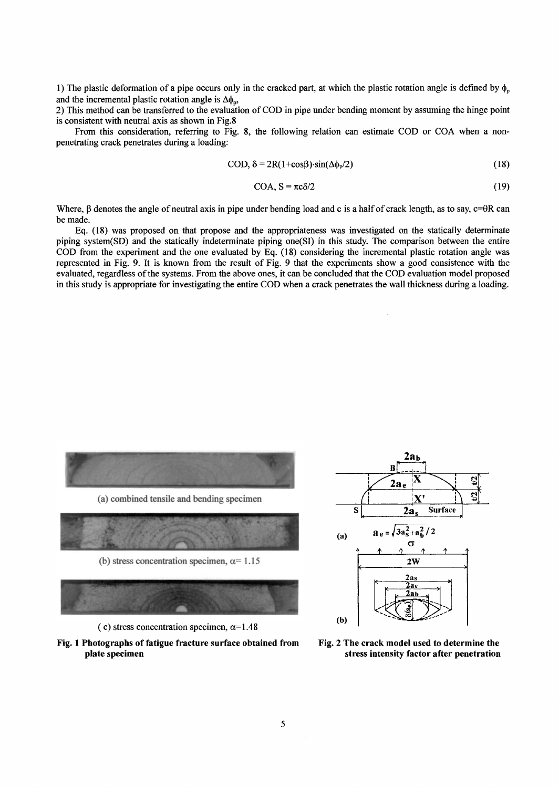1) The plastic deformation of a pipe occurs only in the cracked part, at which the plastic rotation angle is defined by  $\phi_{\rm o}$ and the incremental plastic rotation angle is  $\Delta\phi_{p}$ ,

2) This method can be transferred to the evaluation of COD in pipe under bending moment by assuming the hinge point is consistent with neutral axis as shown in Fig.8

From this consideration, referring to Fig. 8, the following relation can estimate COD or COA when a nonpenetrating crack penetrates during a loading:

$$
COD, \delta = 2R(1+\cos\beta)\cdot\sin(\Delta\phi_P/2)
$$
 (18)

$$
COA, S = \pi c \delta/2 \tag{19}
$$

Where,  $\beta$  denotes the angle of neutral axis in pipe under bending load and c is a half of crack length, as to say,  $c=\theta R$  can be made.

Eq. (18) was proposed on that propose and the appropriateness was investigated on the statically determinate piping system(SD) and the statically indeterminate piping one(SI) in this study. The comparison between the entire COD from the experiment and the one evaluated by Eq. (18) considering the incremental plastic rotation angle was represented in Fig. 9. It is known from the result of Fig. 9 that the experiments show a good consistence with the evaluated, regardless of the systems. From the above ones, it can be concluded that the COD evaluation model proposed in this study is appropriate for investigating the entire COD when a crack penetrates the wall thickness during a loading.



(c) stress concentration specimen,  $\alpha$ =1.48





**Fig. 2 The crack model used to determine the stress intensity factor after penetration**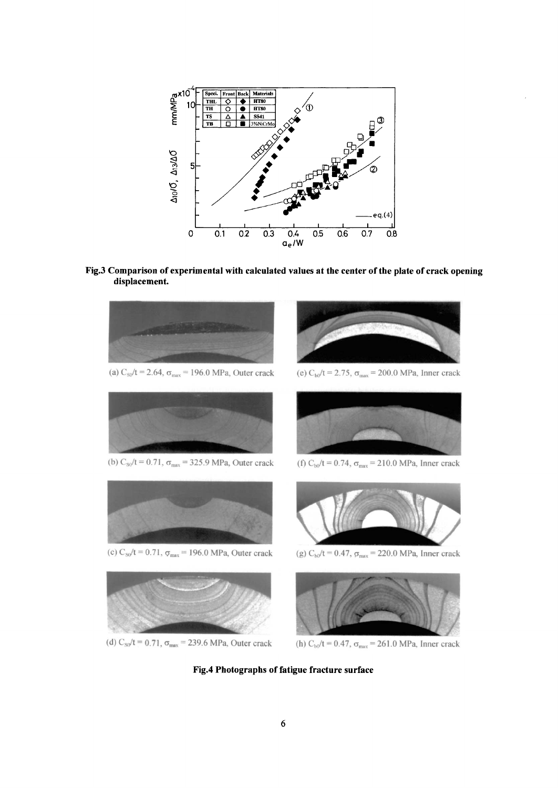

**Fig.3 Comparison of experimental with calculated values at the center of the plate of crack opening displacement.** 



(d)  $C_{\text{SO}}/t = 0.71$ ,  $\sigma_{\text{max}} = 239.6$  MPa, Outer crack (h)  $C_{\text{bo}}/t = 0.47$ ,  $\sigma_{\text{max}} = 261.0$  MPa, Inner crack

**Fig.4 Photographs of fatigue fracture surface**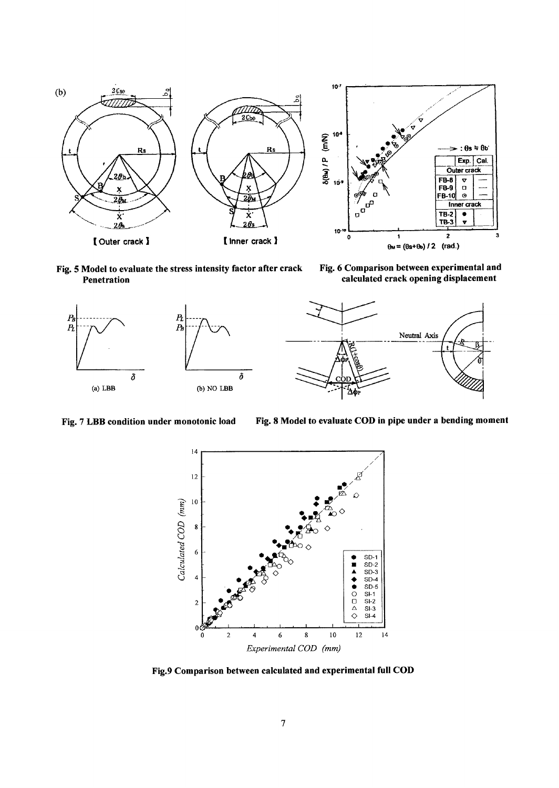

Fig. 5 Model to evaluate the stress intensity factor after crack Penetration

Fig. 6 Comparison between experimental and calculated crack opening displacement



Fig. 7 LBB condition under monotonic load Fig. 8 Model to evaluate COD in pipe under a bending moment



Fig.9 Comparison between calculated and experimental full COD